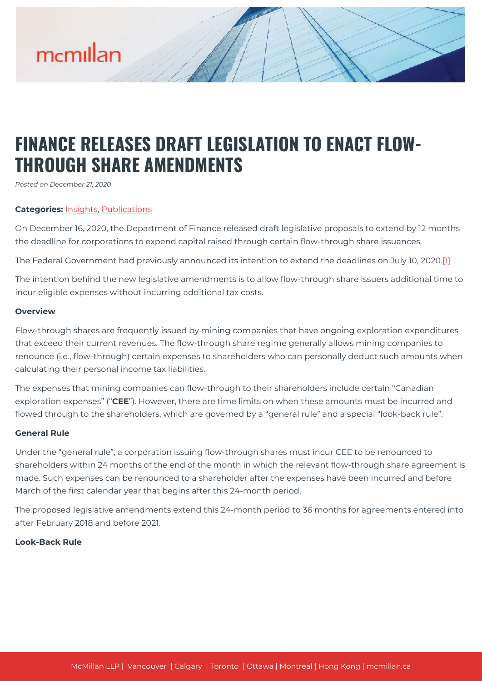# mcmillan

# **FINANCE RELEASES DRAFT LEGISLATION TO ENACT FLOW-THROUGH SHARE AMENDMENTS**

*Posted on December 21, 2020*

### **Categories:** [Insights,](https://mcmillan.ca/insights/) [Publications](https://mcmillan.ca/insights/publications/)

On December 16, 2020, the Department of Finance released draft legislative proposals to extend by 12 months the deadline for corporations to expend capital raised through certain flow-through share issuances.

The Federal Government had previously announced its intention to extend the deadlines on July 10, 2020.<sup>[\[1\]](#page--1-0)</sup>

The intention behind the new legislative amendments is to allow flow-through share issuers additional time to incur eligible expenses without incurring additional tax costs.

#### **Overview**

Flow-through shares are frequently issued by mining companies that have ongoing exploration expenditures that exceed their current revenues. The flow-through share regime generally allows mining companies to renounce (i.e., flow-through) certain expenses to shareholders who can personally deduct such amounts when calculating their personal income tax liabilities.

The expenses that mining companies can flow-through to their shareholders include certain "Canadian exploration expenses" ("**CEE**"). However, there are time limits on when these amounts must be incurred and flowed through to the shareholders, which are governed by a "general rule" and a special "look-back rule".

#### **General Rule**

Under the "general rule", a corporation issuing flow-through shares must incur CEE to be renounced to shareholders within 24 months of the end of the month in which the relevant flow-through share agreement is made. Such expenses can be renounced to a shareholder after the expenses have been incurred and before March of the first calendar year that begins after this 24-month period.

The proposed legislative amendments extend this 24-month period to 36 months for agreements entered into after February 2018 and before 2021.

#### **Look-Back Rule**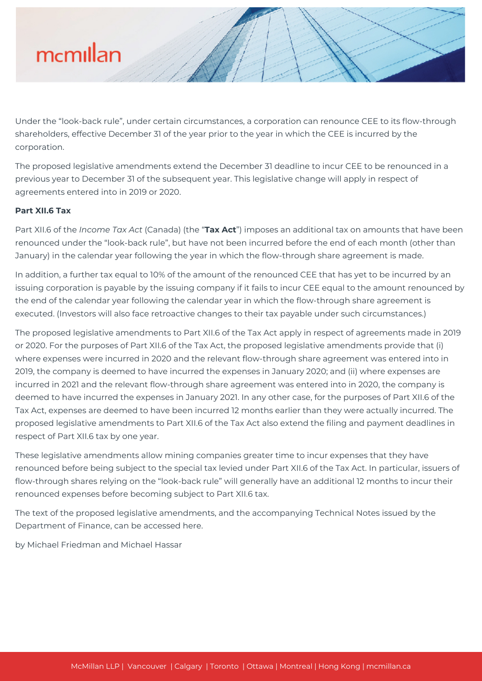# mcmillan

Under the "look-back rule", under certain circumstances, a corporation can renounce CEE to its flow-through shareholders, effective December 31 of the year prior to the year in which the CEE is incurred by the corporation.

The proposed legislative amendments extend the December 31 deadline to incur CEE to be renounced in a previous year to December 31 of the subsequent year. This legislative change will apply in respect of agreements entered into in 2019 or 2020.

## **Part XII.6 Tax**

Part XII.6 of the *Income Tax Act* (Canada) (the "**Tax Act**") imposes an additional tax on amounts that have been renounced under the "look-back rule", but have not been incurred before the end of each month (other than January) in the calendar year following the year in which the flow-through share agreement is made.

In addition, a further tax equal to 10% of the amount of the renounced CEE that has yet to be incurred by an issuing corporation is payable by the issuing company if it fails to incur CEE equal to the amount renounced by the end of the calendar year following the calendar year in which the flow-through share agreement is executed. (Investors will also face retroactive changes to their tax payable under such circumstances.)

The proposed legislative amendments to Part XII.6 of the Tax Act apply in respect of agreements made in 2019 or 2020. For the purposes of Part XII.6 of the Tax Act, the proposed legislative amendments provide that (i) where expenses were incurred in 2020 and the relevant flow-through share agreement was entered into in 2019, the company is deemed to have incurred the expenses in January 2020; and (ii) where expenses are incurred in 2021 and the relevant flow-through share agreement was entered into in 2020, the company is deemed to have incurred the expenses in January 2021. In any other case, for the purposes of Part XII.6 of the Tax Act, expenses are deemed to have been incurred 12 months earlier than they were actually incurred. The proposed legislative amendments to Part XII.6 of the Tax Act also extend the filing and payment deadlines in respect of Part XII.6 tax by one year.

These legislative amendments allow mining companies greater time to incur expenses that they have renounced before being subject to the special tax levied under Part XII.6 of the Tax Act. In particular, issuers of flow-through shares relying on the "look-back rule" will generally have an additional 12 months to incur their renounced expenses before becoming subject to Part XII.6 tax.

The text of the proposed legislative amendments, and the accompanying Technical Notes issued by the Department of Finance, can be accessed here.

by Michael Friedman and Michael Hassar